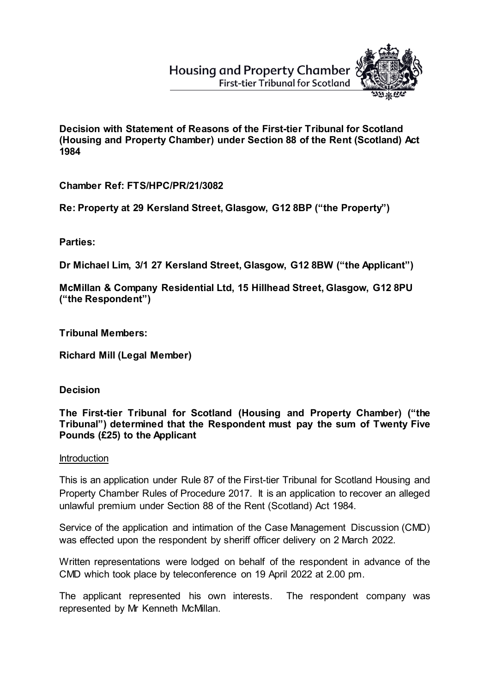## **Housing and Property Chamber First-tier Tribunal for Scotland**



**Decision with Statement of Reasons of the First-tier Tribunal for Scotland (Housing and Property Chamber) under Section 88 of the Rent (Scotland) Act 1984**

**Chamber Ref: FTS/HPC/PR/21/3082**

**Re: Property at 29 Kersland Street, Glasgow, G12 8BP ("the Property")**

**Parties:**

**Dr Michael Lim, 3/1 27 Kersland Street, Glasgow, G12 8BW ("the Applicant")**

**McMillan & Company Residential Ltd, 15 Hillhead Street, Glasgow, G12 8PU ("the Respondent")** 

**Tribunal Members:**

**Richard Mill (Legal Member)**

**Decision**

**The First-tier Tribunal for Scotland (Housing and Property Chamber) ("the Tribunal") determined that the Respondent must pay the sum of Twenty Five Pounds (£25) to the Applicant**

## **Introduction**

This is an application under Rule 87 of the First-tier Tribunal for Scotland Housing and Property Chamber Rules of Procedure 2017. It is an application to recover an alleged unlawful premium under Section 88 of the Rent (Scotland) Act 1984.

Service of the application and intimation of the Case Management Discussion (CMD) was effected upon the respondent by sheriff officer delivery on 2 March 2022.

Written representations were lodged on behalf of the respondent in advance of the CMD which took place by teleconference on 19 April 2022 at 2.00 pm.

The applicant represented his own interests. The respondent company was represented by Mr Kenneth McMillan.